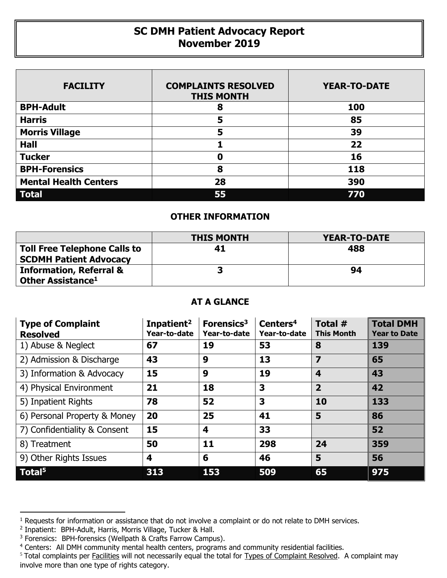## **SC DMH Patient Advocacy Report November 2019**

| <b>FACILITY</b>              | <b>COMPLAINTS RESOLVED</b><br><b>THIS MONTH</b> | <b>YEAR-TO-DATE</b> |
|------------------------------|-------------------------------------------------|---------------------|
| <b>BPH-Adult</b>             | 8                                               | 100                 |
| <b>Harris</b>                | 5                                               | 85                  |
| <b>Morris Village</b>        | 5                                               | 39                  |
| <b>Hall</b>                  |                                                 | 22                  |
| <b>Tucker</b>                | 0                                               | 16                  |
| <b>BPH-Forensics</b>         | 8                                               | 118                 |
| <b>Mental Health Centers</b> | 28                                              | 390                 |
| <b>Total</b>                 | 55                                              | 770                 |

## **OTHER INFORMATION**

|                                                                      | <b>THIS MONTH</b> | <b>YEAR-TO-DATE</b> |
|----------------------------------------------------------------------|-------------------|---------------------|
| <b>Toll Free Telephone Calls to</b><br><b>SCDMH Patient Advocacy</b> | 41                | 488                 |
| <b>Information, Referral &amp;</b><br>Other Assistance <sup>1</sup>  |                   | 94                  |

## **AT A GLANCE**

| <b>Type of Complaint</b><br><b>Resolved</b> | Inpatient <sup>2</sup><br>Year-to-date | Forensics <sup>3</sup><br>Year-to-date | Centers <sup>4</sup><br>Year-to-date | Total #<br><b>This Month</b> | <b>Total DMH</b><br><b>Year to Date</b> |
|---------------------------------------------|----------------------------------------|----------------------------------------|--------------------------------------|------------------------------|-----------------------------------------|
| 1) Abuse & Neglect                          | 67                                     | 19                                     | 53                                   | 8                            | 139                                     |
| 2) Admission & Discharge                    | 43                                     | 9                                      | 13                                   | 7                            | 65                                      |
| 3) Information & Advocacy                   | 15                                     | 9                                      | 19                                   | 4                            | 43                                      |
| 4) Physical Environment                     | 21                                     | 18                                     | 3                                    | $\overline{2}$               | 42                                      |
| 5) Inpatient Rights                         | 78                                     | 52                                     | 3                                    | 10                           | 133                                     |
| 6) Personal Property & Money                | 20                                     | 25                                     | 41                                   | 5                            | 86                                      |
| 7) Confidentiality & Consent                | 15                                     | 4                                      | 33                                   |                              | 52                                      |
| 8) Treatment                                | 50                                     | 11                                     | 298                                  | 24                           | 359                                     |
| 9) Other Rights Issues                      | 4                                      | 6                                      | 46                                   | 5                            | 56                                      |
| Total <sup>5</sup>                          | 313                                    | 153                                    | 509                                  | 65                           | 975                                     |

 $\overline{a}$ 

<sup>&</sup>lt;sup>1</sup> Requests for information or assistance that do not involve a complaint or do not relate to DMH services.

<sup>2</sup> Inpatient: BPH-Adult, Harris, Morris Village, Tucker & Hall.

<sup>&</sup>lt;sup>3</sup> Forensics: BPH-forensics (Wellpath & Crafts Farrow Campus).

<sup>&</sup>lt;sup>4</sup> Centers: All DMH community mental health centers, programs and community residential facilities.

<sup>&</sup>lt;sup>5</sup> Total complaints per Facilities will not necessarily equal the total for Types of Complaint Resolved. A complaint may involve more than one type of rights category.